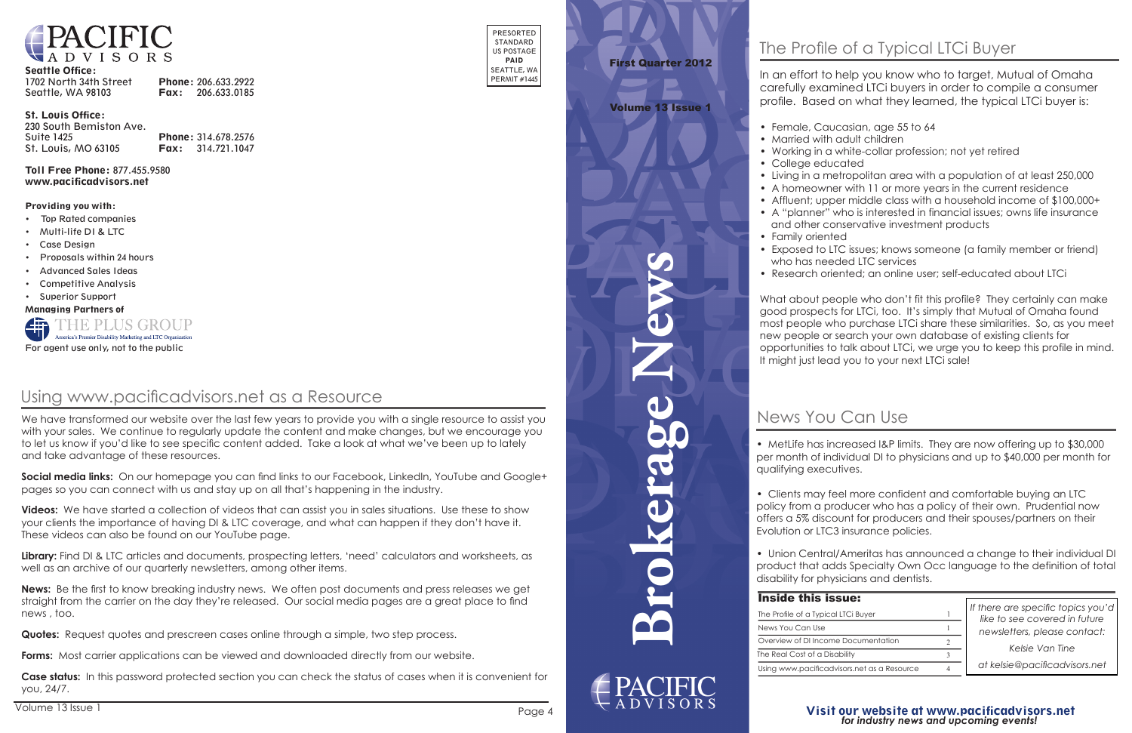

#### Seattle Office:

| 1702 North 34th Street | Phone: 206.633.2922      |
|------------------------|--------------------------|
| Seattle, WA 98103      | <b>Fax:</b> 206.633.0185 |

#### St. Louis Office:

| 230 South Bemiston Ave. |                            |
|-------------------------|----------------------------|
| <b>Suite 1425</b>       | Phone: 314.678.2576        |
| St. Louis, MO 63105     | <b>Fax:</b> $314.721.1047$ |

Toll Free Phone: 877.455.9580 www.pacificadvisors.net

> *If there are specific topics you'd like to see covered in future If there are specific topics you'd newsletters, please contact:*

#### Providing you with:

- Top Rated companies
- Multi-life DI & LTC
- Case Design
- Proposals within 24 hours
- Advanced Sales Ideas
- Competitive Analysis
- Superior Support

• Clients may feel more confident and comfortable buying an LTC policy from a producer who has a policy of their own. Prudential now offers a 5% discount for producers and their spouses/partners on their Evolution or LTC3 insurance policies.

Managing Partners of



## News You Can Use

In an effort to help you know who to target, Mutual of Omaha carefully examined LTCi buyers in order to compile a consumer profile. Based on what they learned, the typical LTCi buyer is:

#### Volume 13 Issue 1

What about people who don't fit this profile? They certainly can make good prospects for LTCi, too. It's simply that Mutual of Omaha found most people who purchase LTCi share these similarities. So, as you meet new people or search your own database of existing clients for opportunities to talk about LTCi, we urge you to keep this profile in mind. It might just lead you to your next LTCi sale!

• MetLife has increased I&P limits. They are now offering up to \$30,000 per month of individual DI to physicians and up to \$40,000 per month for qualifying executives. The individual DI to physician of individual DI to physician and up to  $\sim$ 

• Female, Caucasian, age 55 to 64

 $\bullet\,$  Married with adult children

• Working in a white-collar profession; not yet retired

• College educated in a white-collar profession; not yet  $\alpha$ 

• Living in a metropolitan area with a population of at least 250,000 • A homeowner with 11 or more years in the current residence

• Affluent; upper middle class with a household income of \$100,000+ • A "planner" who is interested in financial issues; owns life insurance and other conservative investment products

• Exposed to LTC issues; knows someone (a family member or friend) who has needed LTC services; know some control is a family member of  $\mathbb R$ 

• Research oriented; an online user; self-educated about LTCi

## Visit our website at www.pacificadvisors.net *for industry news and upcoming events! Visit our website at www.pacificadvisors.net for industry news and upcoming events!*

*Kelsie Van Tine newsletters, please contact:*

*at kelsie@pacificadvisors.net Kelsie Van Tine at kelsie@pacificadvisors.net*

# First Quarter 2012 First Quarter 2012

• Union Central/Ameritas has announced a change to their individual DI product that adds Specialty Own Occ language to the definition of total<br>disability for physicians and dentists. disability for physicians and dentists.

| Inside this issue:                          |  |
|---------------------------------------------|--|
| The Profile of a Typical LTCi Buyer         |  |
| News You Can Use                            |  |
| Overview of DI Income Documentation         |  |
| The Real Cost of a Disability               |  |
| Using www.pacificadvisors.net as a Resource |  |

We have transformed our website over the last few years to provide you with a single resource to assist you with your sales. We continue to regularly update the content and make changes, but we encourage you to let us know if you'd like to see specific content added. Take a look at what we've been up to lately and take advantage of these resources.

**Social media links:** On our homepage you can find links to our Facebook, LinkedIn, YouTube and Google+ pages so you can connect with us and stay up on all that's happening in the industry.

**Videos:** We have started a collection of videos that can assist you in sales situations. Use these to show your clients the importance of having DI & LTC coverage, and what can happen if they don't have it. These videos can also be found on our YouTube page.



Volume 13 Issue 1 Page 4

## Using www.pacificadvisors.net as a Resource

**Library:** Find DI & LTC articles and documents, prospecting letters, 'need' calculators and worksheets, as well as an archive of our quarterly newsletters, among other items.

**News:** Be the first to know breaking industry news. We often post documents and press releases we get straight from the carrier on the day they're released. Our social media pages are a great place to find news , too.

**Quotes:** Request quotes and prescreen cases online through a simple, two step process.

**Forms:** Most carrier applications can be viewed and downloaded directly from our website.

**Case status:** In this password protected section you can check the status of cases when it is convenient for you, 24/7.